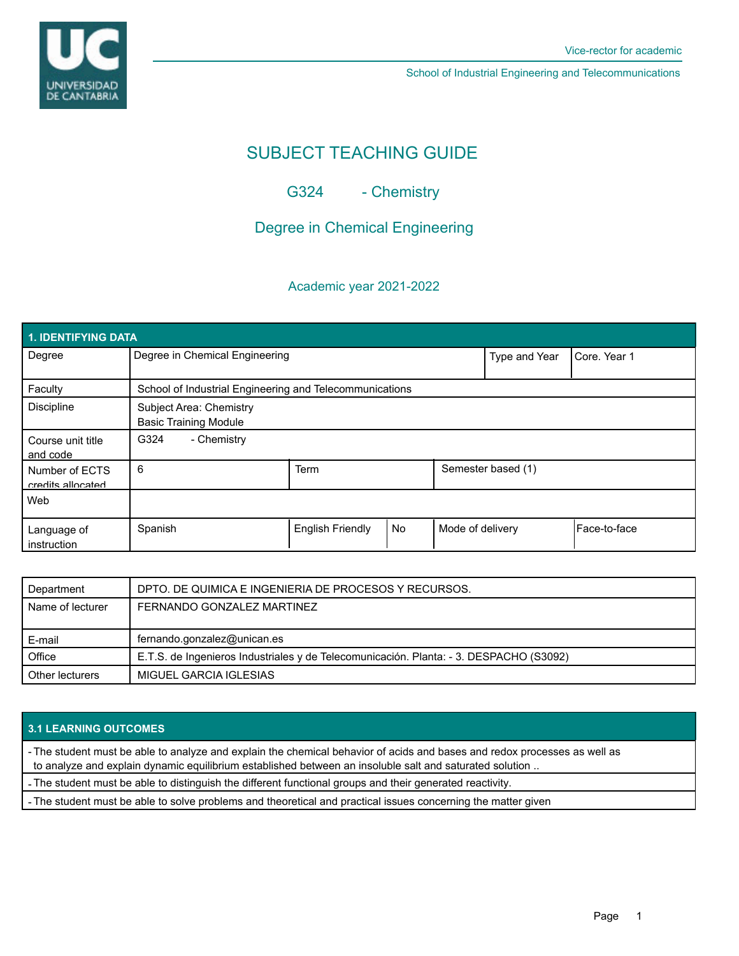

School of Industrial Engineering and Telecommunications

# SUBJECT TEACHING GUIDE

G324 - Chemistry

# Degree in Chemical Engineering

## Academic year 2021-2022

| 1. IDENTIFYING DATA                 |                                                         |                         |           |                    |              |              |  |  |  |
|-------------------------------------|---------------------------------------------------------|-------------------------|-----------|--------------------|--------------|--------------|--|--|--|
| Degree                              | Degree in Chemical Engineering                          |                         |           | Type and Year      | Core, Year 1 |              |  |  |  |
| Faculty                             | School of Industrial Engineering and Telecommunications |                         |           |                    |              |              |  |  |  |
| <b>Discipline</b>                   | Subject Area: Chemistry<br><b>Basic Training Module</b> |                         |           |                    |              |              |  |  |  |
| Course unit title<br>and code       | G324<br>- Chemistry                                     |                         |           |                    |              |              |  |  |  |
| Number of ECTS<br>credits allocated | 6                                                       | Term                    |           | Semester based (1) |              |              |  |  |  |
| Web                                 |                                                         |                         |           |                    |              |              |  |  |  |
| Language of<br>instruction          | Spanish                                                 | <b>English Friendly</b> | <b>No</b> | Mode of delivery   |              | Face-to-face |  |  |  |

| Department       | DPTO. DE QUIMICA E INGENIERIA DE PROCESOS Y RECURSOS.                                  |  |  |
|------------------|----------------------------------------------------------------------------------------|--|--|
| Name of lecturer | FERNANDO GONZALEZ MARTINEZ                                                             |  |  |
|                  |                                                                                        |  |  |
|                  |                                                                                        |  |  |
| E-mail           | fernando.gonzalez@unican.es                                                            |  |  |
| Office           | E.T.S. de Ingenieros Industriales y de Telecomunicación. Planta: - 3. DESPACHO (S3092) |  |  |

### **3.1 LEARNING OUTCOMES**

- The student must be able to analyze and explain the chemical behavior of acids and bases and redox processes as well as to analyze and explain dynamic equilibrium established between an insoluble salt and saturated solution ..

- The student must be able to distinguish the different functional groups and their generated reactivity.

- The student must be able to solve problems and theoretical and practical issues concerning the matter given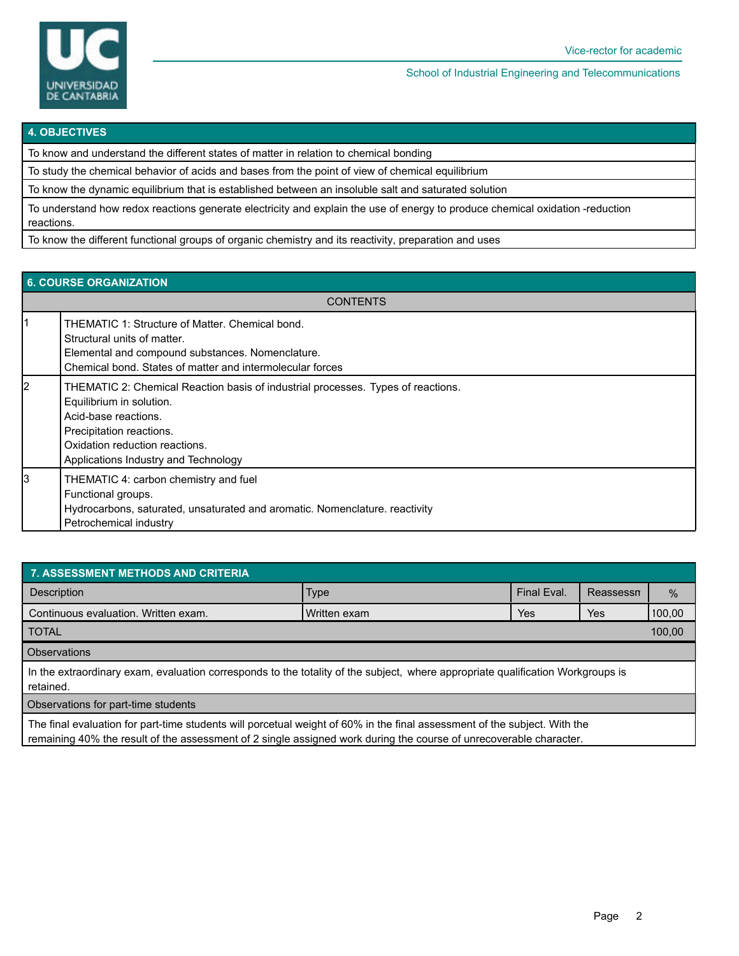

School of Industrial Engineering and Telecommunications

#### **4. OBJECTIVES**

To know and understand the different states of matter in relation to chemical bonding

To study the chemical behavior of acids and bases from the point of view of chemical equilibrium

To know the dynamic equilibrium that is established between an insoluble salt and saturated solution

To understand how redox reactions generate electricity and explain the use of energy to produce chemical oxidation -reduction reactions.

To know the different functional groups of organic chemistry and its reactivity, preparation and uses

| <b>6. COURSE ORGANIZATION</b> |                                                                                                                                                                                                                                            |  |  |  |
|-------------------------------|--------------------------------------------------------------------------------------------------------------------------------------------------------------------------------------------------------------------------------------------|--|--|--|
| <b>CONTENTS</b>               |                                                                                                                                                                                                                                            |  |  |  |
|                               | THEMATIC 1: Structure of Matter, Chemical bond.<br>Structural units of matter.<br>Elemental and compound substances. Nomenclature.<br>Chemical bond. States of matter and intermolecular forces                                            |  |  |  |
| 2                             | THEMATIC 2: Chemical Reaction basis of industrial processes. Types of reactions.<br>Equilibrium in solution.<br>Acid-base reactions.<br>Precipitation reactions.<br>Oxidation reduction reactions.<br>Applications Industry and Technology |  |  |  |
| 3                             | THEMATIC 4: carbon chemistry and fuel<br>Functional groups.<br>Hydrocarbons, saturated, unsaturated and aromatic. Nomenclature. reactivity<br>Petrochemical industry                                                                       |  |  |  |

| 7. ASSESSMENT METHODS AND CRITERIA                                                                                                                                                                                                              |              |             |           |        |  |  |  |  |
|-------------------------------------------------------------------------------------------------------------------------------------------------------------------------------------------------------------------------------------------------|--------------|-------------|-----------|--------|--|--|--|--|
| Description                                                                                                                                                                                                                                     | <b>Type</b>  | Final Eval. | Reassessn | %      |  |  |  |  |
| Continuous evaluation. Written exam.                                                                                                                                                                                                            | Written exam | Yes         | Yes       | 100,00 |  |  |  |  |
| <b>TOTAL</b>                                                                                                                                                                                                                                    |              |             |           |        |  |  |  |  |
| <b>Observations</b>                                                                                                                                                                                                                             |              |             |           |        |  |  |  |  |
| In the extraordinary exam, evaluation corresponds to the totality of the subject, where appropriate qualification Workgroups is<br>retained.                                                                                                    |              |             |           |        |  |  |  |  |
| Observations for part-time students                                                                                                                                                                                                             |              |             |           |        |  |  |  |  |
| The final evaluation for part-time students will porcetual weight of 60% in the final assessment of the subject. With the<br>remaining 40% the result of the assessment of 2 single assigned work during the course of unrecoverable character. |              |             |           |        |  |  |  |  |